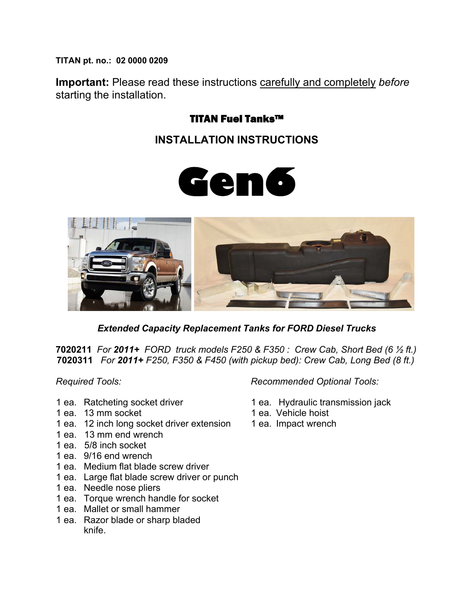**TITAN pt. no.: 02 0000 0209** 

**Important:** Please read these instructions carefully and completely *before*  starting the installation.

## TITAN Fuel Tanks™

## **INSTALLATION INSTRUCTIONS**





*Extended Capacity Replacement Tanks for FORD Diesel Trucks* 

**7020211** *For 2011+ FORD truck models F250 & F350 : Crew Cab, Short Bed (6 ½ ft.)*  **7020311** *For 2011+ F250, F350 & F450 (with pickup bed): Crew Cab, Long Bed (8 ft.)* 

- 
- 1 ea. 13 mm socket 1 ea. Vehicle hoist
- 1 ea. 12 inch long socket driver extension 1 ea. Impact wrench
- 1 ea. 13 mm end wrench
- 1 ea. 5/8 inch socket
- 1 ea. 9/16 end wrench
- 1 ea. Medium flat blade screw driver
- 1 ea. Large flat blade screw driver or punch
- 1 ea. Needle nose pliers
- 1 ea. Torque wrench handle for socket
- 1 ea. Mallet or small hammer
- 1 ea. Razor blade or sharp bladed knife.

*Required Tools: Recommended Optional Tools:* 

- 1 ea. Ratcheting socket driver 1 ea. Hydraulic transmission jack
	-
	-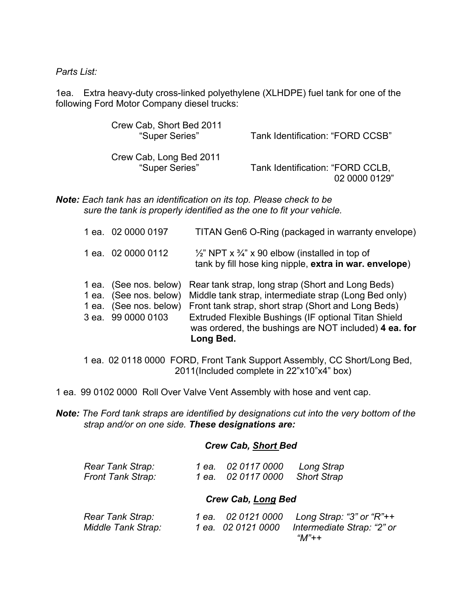*Parts List:* 

1ea. Extra heavy-duty cross-linked polyethylene (XLHDPE) fuel tank for one of the following Ford Motor Company diesel trucks:

| Crew Cab, Short Bed 2011<br>"Super Series" | Tank Identification: "FORD CCSB" |
|--------------------------------------------|----------------------------------|
| Crew Cab, Long Bed 2011                    | Tank Identification: "FORD CCLB, |
| "Super Series"                             | 02 0000 0129"                    |

*Note: Each tank has an identification on its top. Please check to be sure the tank is properly identified as the one to fit your vehicle.* 

| 1 ea. 02 0000 0197                                                                               | TITAN Gen6 O-Ring (packaged in warranty envelope)                                                                                                                                                                                                                                               |
|--------------------------------------------------------------------------------------------------|-------------------------------------------------------------------------------------------------------------------------------------------------------------------------------------------------------------------------------------------------------------------------------------------------|
| 1 ea. 02 0000 0112                                                                               | $\frac{1}{2}$ " NPT x $\frac{3}{4}$ " x 90 elbow (installed in top of<br>tank by fill hose king nipple, extra in war. envelope)                                                                                                                                                                 |
| 1 ea. (See nos. below)<br>1 ea. (See nos. below)<br>1 ea. (See nos. below)<br>3 ea. 99 0000 0103 | Rear tank strap, long strap (Short and Long Beds)<br>Middle tank strap, intermediate strap (Long Bed only)<br>Front tank strap, short strap (Short and Long Beds)<br>Extruded Flexible Bushings (IF optional Titan Shield<br>was ordered, the bushings are NOT included) 4 ea. for<br>Long Bed. |

1 ea. 02 0118 0000 FORD, Front Tank Support Assembly, CC Short/Long Bed, 2011(Included complete in 22"x10"x4" box)

- 1 ea. 99 0102 0000 Roll Over Valve Vent Assembly with hose and vent cap.
- *Note: The Ford tank straps are identified by designations cut into the very bottom of the strap and/or on one side. These designations are:*

#### *Crew Cab, Short Bed*

| Rear Tank Strap:         | 1 ea. 02 0117 0000             | Long Strap |
|--------------------------|--------------------------------|------------|
| <b>Front Tank Strap:</b> | 1 ea. 02 0117 0000 Short Strap |            |

#### *Crew Cab, Long Bed*

| Rear Tank Strap:   | 1 ea. 02 0121 0000 | Long Strap: "3" or "R"++   |
|--------------------|--------------------|----------------------------|
| Middle Tank Strap: | 1 ea. 02 0121 0000 | Intermediate Strap: "2" or |
|                    |                    | "M"++                      |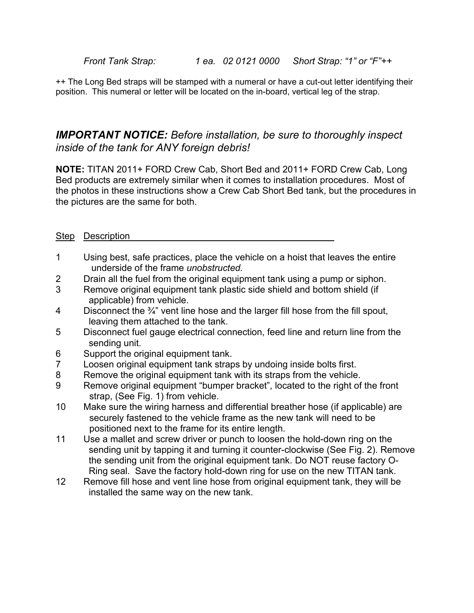*Front Tank Strap: 1 ea. 02 0121 0000 Short Strap: "1" or "F"++* 

++ The Long Bed straps will be stamped with a numeral or have a cut-out letter identifying their position. This numeral or letter will be located on the in-board, vertical leg of the strap.

### *IMPORTANT NOTICE: Before installation, be sure to thoroughly inspect inside of the tank for ANY foreign debris!*

**NOTE:** TITAN 2011+ FORD Crew Cab, Short Bed and 2011+ FORD Crew Cab, Long Bed products are extremely similar when it comes to installation procedures. Most of the photos in these instructions show a Crew Cab Short Bed tank, but the procedures in the pictures are the same for both.

| Step | Description |
|------|-------------|
|      |             |

- 1 Using best, safe practices, place the vehicle on a hoist that leaves the entire underside of the frame *unobstructed.*
- 2 Drain all the fuel from the original equipment tank using a pump or siphon.
- 3 Remove original equipment tank plastic side shield and bottom shield (if applicable) from vehicle.
- 4 Disconnect the  $\frac{3}{4}$ " vent line hose and the larger fill hose from the fill spout, leaving them attached to the tank.
- 5 Disconnect fuel gauge electrical connection, feed line and return line from the sending unit.
- 6 Support the original equipment tank.
- 7 Loosen original equipment tank straps by undoing inside bolts first.
- 8 Remove the original equipment tank with its straps from the vehicle.
- 9 Remove original equipment "bumper bracket", located to the right of the front strap, (See Fig. 1) from vehicle.
- 10 Make sure the wiring harness and differential breather hose (if applicable) are securely fastened to the vehicle frame as the new tank will need to be positioned next to the frame for its entire length.
- 11 Use a mallet and screw driver or punch to loosen the hold-down ring on the sending unit by tapping it and turning it counter-clockwise (See Fig. 2). Remove the sending unit from the original equipment tank. Do NOT reuse factory O-Ring seal. Save the factory hold-down ring for use on the new TITAN tank.
- 12 Remove fill hose and vent line hose from original equipment tank, they will be installed the same way on the new tank.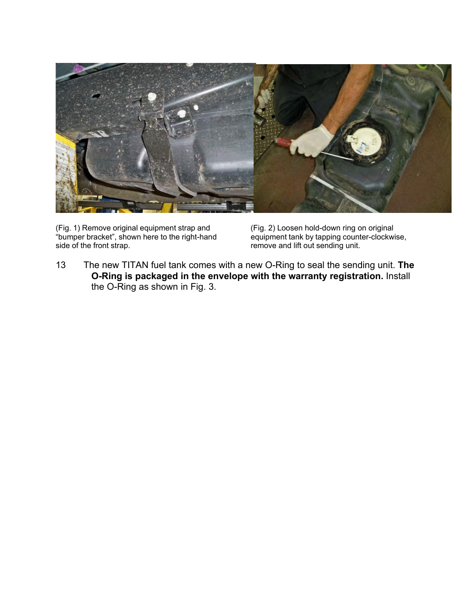

(Fig. 1) Remove original equipment strap and (Fig. 2) Loosen hold-down ring on original<br>"bumper bracket", shown here to the right-hand equipment tank by tapping counter-clockwise, "bumper bracket", shown here to the right-hand<br>side of the front strap.

remove and lift out sending unit.

13 The new TITAN fuel tank comes with a new O-Ring to seal the sending unit. **The O-Ring is packaged in the envelope with the warranty registration.** Install the O-Ring as shown in Fig. 3.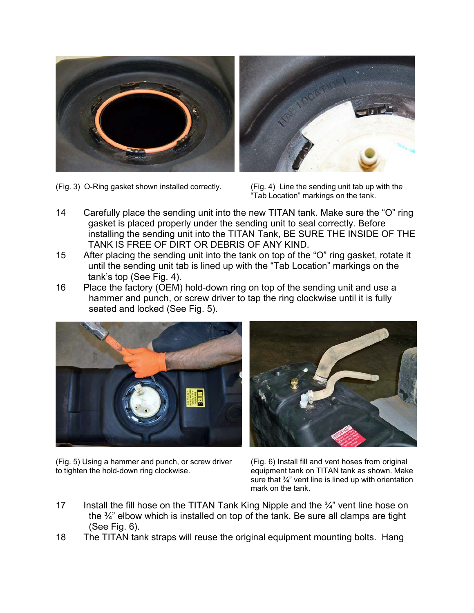



(Fig. 3) O-Ring gasket shown installed correctly. (Fig. 4) Line the sending unit tab up with the

"Tab Location" markings on the tank.

- 14 Carefully place the sending unit into the new TITAN tank. Make sure the "O" ring gasket is placed properly under the sending unit to seal correctly. Before installing the sending unit into the TITAN Tank, BE SURE THE INSIDE OF THE TANK IS FREE OF DIRT OR DEBRIS OF ANY KIND.
- 15 After placing the sending unit into the tank on top of the "O" ring gasket, rotate it until the sending unit tab is lined up with the "Tab Location" markings on the tank's top (See Fig. 4).
- 16 Place the factory (OEM) hold-down ring on top of the sending unit and use a hammer and punch, or screw driver to tap the ring clockwise until it is fully seated and locked (See Fig. 5).



(Fig. 5) Using a hammer and punch, or screw driver (Fig. 6) Install fill and vent hoses from original to tighten the hold-down ring clockwise. equipment tank on TITAN tank as shown. Make

sure that  $\frac{3}{4}$ " vent line is lined up with orientation mark on the tank.

- 17 Install the fill hose on the TITAN Tank King Nipple and the  $\frac{3}{4}$ " vent line hose on the ¾" elbow which is installed on top of the tank. Be sure all clamps are tight (See Fig. 6).
- 18 The TITAN tank straps will reuse the original equipment mounting bolts. Hang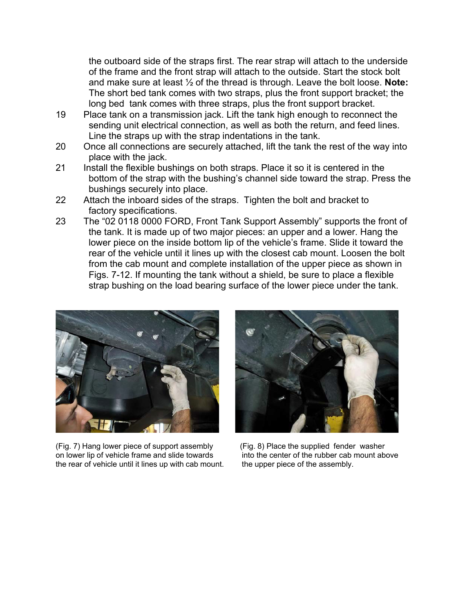the outboard side of the straps first. The rear strap will attach to the underside of the frame and the front strap will attach to the outside. Start the stock bolt and make sure at least ½ of the thread is through. Leave the bolt loose. **Note:**  The short bed tank comes with two straps, plus the front support bracket; the long bed tank comes with three straps, plus the front support bracket.

- 19 Place tank on a transmission jack. Lift the tank high enough to reconnect the sending unit electrical connection, as well as both the return, and feed lines. Line the straps up with the strap indentations in the tank.
- 20 Once all connections are securely attached, lift the tank the rest of the way into place with the jack.
- 21 Install the flexible bushings on both straps. Place it so it is centered in the bottom of the strap with the bushing's channel side toward the strap. Press the bushings securely into place.
- 22 Attach the inboard sides of the straps. Tighten the bolt and bracket to factory specifications.
- 23 The "02 0118 0000 FORD, Front Tank Support Assembly" supports the front of the tank. It is made up of two major pieces: an upper and a lower. Hang the lower piece on the inside bottom lip of the vehicle's frame. Slide it toward the rear of the vehicle until it lines up with the closest cab mount. Loosen the bolt from the cab mount and complete installation of the upper piece as shown in Figs. 7-12. If mounting the tank without a shield, be sure to place a flexible strap bushing on the load bearing surface of the lower piece under the tank.



(Fig. 7) Hang lower piece of support assembly (Fig. 8) Place the supplied fender washer<br>on lower lip of vehicle frame and slide towards into the center of the rubber cab mount above on lower lip of vehicle frame and slide towards the rear of vehicle until it lines up with cab mount. the upper piece of the assembly.

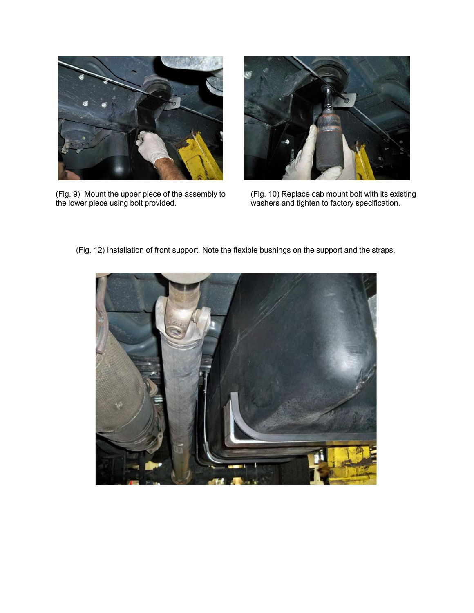

(Fig. 9) Mount the upper piece of the assembly to (Fig. 10) Replace cab mount bolt with its existing the lower piece using bolt provided. washers and tighten to factory specification.



washers and tighten to factory specification.

(Fig. 12) Installation of front support. Note the flexible bushings on the support and the straps.

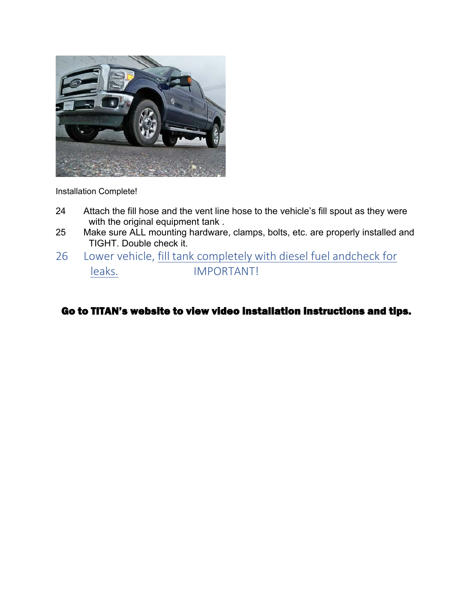

Installation Complete!

- 24 Attach the fill hose and the vent line hose to the vehicle's fill spout as they were with the original equipment tank.
- 25 Make sure ALL mounting hardware, clamps, bolts, etc. are properly installed and TIGHT. Double check it.
- 26 Lower vehicle, fill tank completely with diesel fuel andcheck for leaks. IMPORTANT!

Go to TITAN's website to view video installation instructions and tips.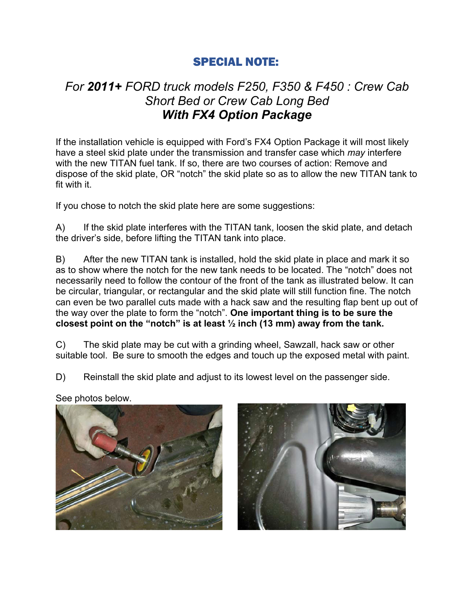## SPECIAL NOTE:

# *For 2011+ FORD truck models F250, F350 & F450 : Crew Cab Short Bed or Crew Cab Long Bed With FX4 Option Package*

If the installation vehicle is equipped with Ford's FX4 Option Package it will most likely have a steel skid plate under the transmission and transfer case which *may* interfere with the new TITAN fuel tank. If so, there are two courses of action: Remove and dispose of the skid plate, OR "notch" the skid plate so as to allow the new TITAN tank to fit with it.

If you chose to notch the skid plate here are some suggestions:

A) If the skid plate interferes with the TITAN tank, loosen the skid plate, and detach the driver's side, before lifting the TITAN tank into place.

B) After the new TITAN tank is installed, hold the skid plate in place and mark it so as to show where the notch for the new tank needs to be located. The "notch" does not necessarily need to follow the contour of the front of the tank as illustrated below. It can be circular, triangular, or rectangular and the skid plate will still function fine. The notch can even be two parallel cuts made with a hack saw and the resulting flap bent up out of the way over the plate to form the "notch". **One important thing is to be sure the closest point on the "notch" is at least ½ inch (13 mm) away from the tank.** 

C) The skid plate may be cut with a grinding wheel, Sawzall, hack saw or other suitable tool. Be sure to smooth the edges and touch up the exposed metal with paint.

D) Reinstall the skid plate and adjust to its lowest level on the passenger side.

See photos below.